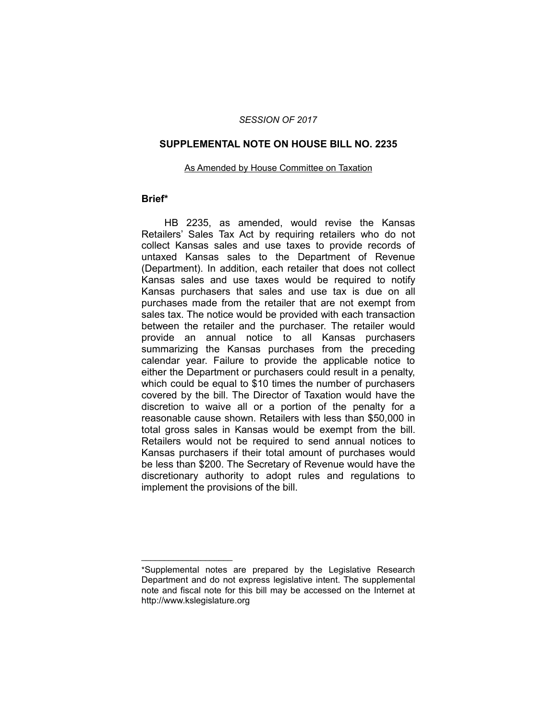## *SESSION OF 2017*

## **SUPPLEMENTAL NOTE ON HOUSE BILL NO. 2235**

#### As Amended by House Committee on Taxation

# **Brief\***

HB 2235, as amended, would revise the Kansas Retailers' Sales Tax Act by requiring retailers who do not collect Kansas sales and use taxes to provide records of untaxed Kansas sales to the Department of Revenue (Department). In addition, each retailer that does not collect Kansas sales and use taxes would be required to notify Kansas purchasers that sales and use tax is due on all purchases made from the retailer that are not exempt from sales tax. The notice would be provided with each transaction between the retailer and the purchaser. The retailer would provide an annual notice to all Kansas purchasers summarizing the Kansas purchases from the preceding calendar year. Failure to provide the applicable notice to either the Department or purchasers could result in a penalty, which could be equal to \$10 times the number of purchasers covered by the bill. The Director of Taxation would have the discretion to waive all or a portion of the penalty for a reasonable cause shown. Retailers with less than \$50,000 in total gross sales in Kansas would be exempt from the bill. Retailers would not be required to send annual notices to Kansas purchasers if their total amount of purchases would be less than \$200. The Secretary of Revenue would have the discretionary authority to adopt rules and regulations to implement the provisions of the bill.

 $\overline{\phantom{a}}$  , where  $\overline{\phantom{a}}$  , where  $\overline{\phantom{a}}$ 

<sup>\*</sup>Supplemental notes are prepared by the Legislative Research Department and do not express legislative intent. The supplemental note and fiscal note for this bill may be accessed on the Internet at http://www.kslegislature.org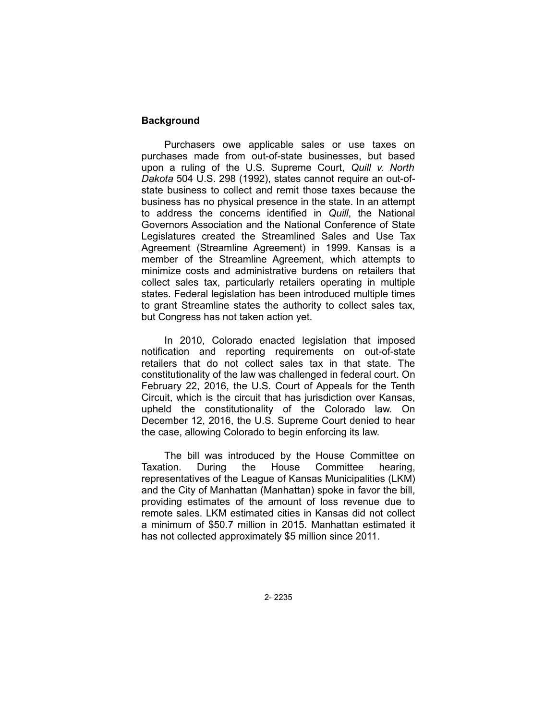# **Background**

Purchasers owe applicable sales or use taxes on purchases made from out-of-state businesses, but based upon a ruling of the U.S. Supreme Court, *Quill v. North Dakota* 504 U.S. 298 (1992), states cannot require an out-ofstate business to collect and remit those taxes because the business has no physical presence in the state. In an attempt to address the concerns identified in *Quill*, the National Governors Association and the National Conference of State Legislatures created the Streamlined Sales and Use Tax Agreement (Streamline Agreement) in 1999. Kansas is a member of the Streamline Agreement, which attempts to minimize costs and administrative burdens on retailers that collect sales tax, particularly retailers operating in multiple states. Federal legislation has been introduced multiple times to grant Streamline states the authority to collect sales tax, but Congress has not taken action yet.

In 2010, Colorado enacted legislation that imposed notification and reporting requirements on out-of-state retailers that do not collect sales tax in that state. The constitutionality of the law was challenged in federal court. On February 22, 2016, the U.S. Court of Appeals for the Tenth Circuit, which is the circuit that has jurisdiction over Kansas, upheld the constitutionality of the Colorado law. On December 12, 2016, the U.S. Supreme Court denied to hear the case, allowing Colorado to begin enforcing its law.

The bill was introduced by the House Committee on Taxation. During the House Committee hearing, representatives of the League of Kansas Municipalities (LKM) and the City of Manhattan (Manhattan) spoke in favor the bill, providing estimates of the amount of loss revenue due to remote sales. LKM estimated cities in Kansas did not collect a minimum of \$50.7 million in 2015. Manhattan estimated it has not collected approximately \$5 million since 2011.